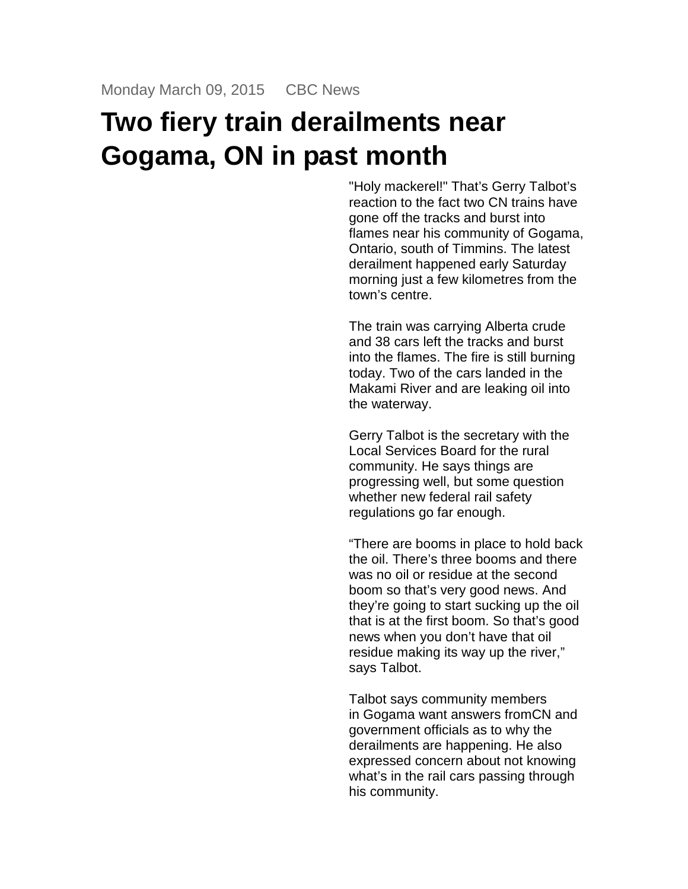## **Two fiery train derailments near Gogama, ON in past month**

"Holy mackerel!" That's Gerry Talbot's reaction to the fact two CN trains have gone off the tracks and burst into flames near his community of Gogama, Ontario, south of Timmins. The latest derailment happened early Saturday morning just a few kilometres from the town's centre.

The train was carrying Alberta crude and 38 cars left the tracks and burst into the flames. The fire is still burning today. Two of the cars landed in the Makami River and are leaking oil into the waterway.

Gerry Talbot is the secretary with the Local Services Board for the rural community. He says things are progressing well, but some question whether new federal rail safety regulations go far enough.

"There are booms in place to hold back the oil. There's three booms and there was no oil or residue at the second boom so that's very good news. And they're going to start sucking up the oil that is at the first boom. So that's good news when you don't have that oil residue making its way up the river," says Talbot.

Talbot says community members in Gogama want answers fromCN and government officials as to why the derailments are happening. He also expressed concern about not knowing what's in the rail cars passing through his community.